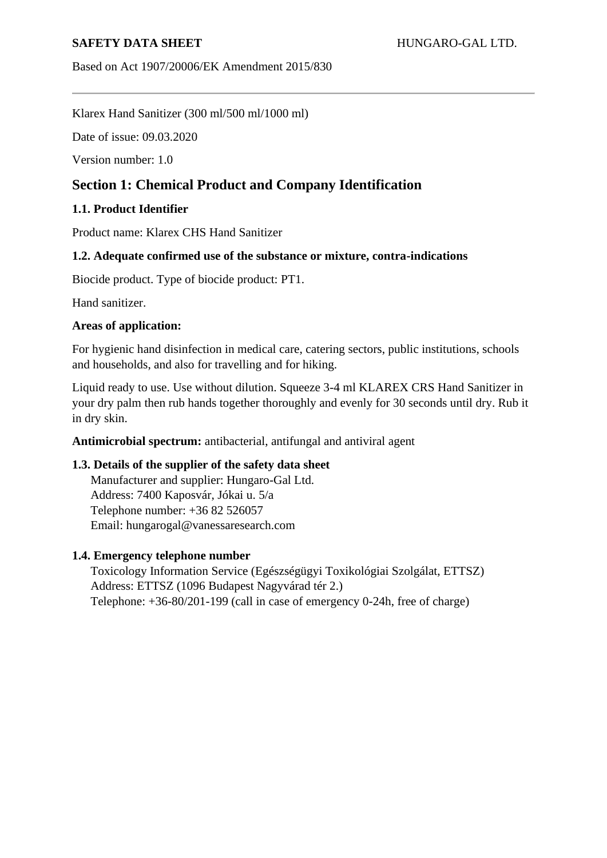Based on Act 1907/20006/EK Amendment 2015/830

Klarex Hand Sanitizer (300 ml/500 ml/1000 ml)

Date of issue: 09.03.2020

Version number: 1.0

# **Section 1: Chemical Product and Company Identification**

## **1.1. Product Identifier**

Product name: Klarex CHS Hand Sanitizer

## **1.2. Adequate confirmed use of the substance or mixture, contra-indications**

Biocide product. Type of biocide product: PT1.

Hand sanitizer.

### **Areas of application:**

For hygienic hand disinfection in medical care, catering sectors, public institutions, schools and households, and also for travelling and for hiking.

Liquid ready to use. Use without dilution. Squeeze 3-4 ml KLAREX CRS Hand Sanitizer in your dry palm then rub hands together thoroughly and evenly for 30 seconds until dry. Rub it in dry skin.

**Antimicrobial spectrum:** antibacterial, antifungal and antiviral agent

## **1.3. Details of the supplier of the safety data sheet**

Manufacturer and supplier: Hungaro-Gal Ltd. Address: 7400 Kaposvár, Jókai u. 5/a Telephone number: +36 82 526057 Email: hungarogal@vanessaresearch.com

### **1.4. Emergency telephone number**

Toxicology Information Service (Egészségügyi Toxikológiai Szolgálat, ETTSZ) Address: ETTSZ (1096 Budapest Nagyvárad tér 2.) Telephone: +36-80/201-199 (call in case of emergency 0-24h, free of charge)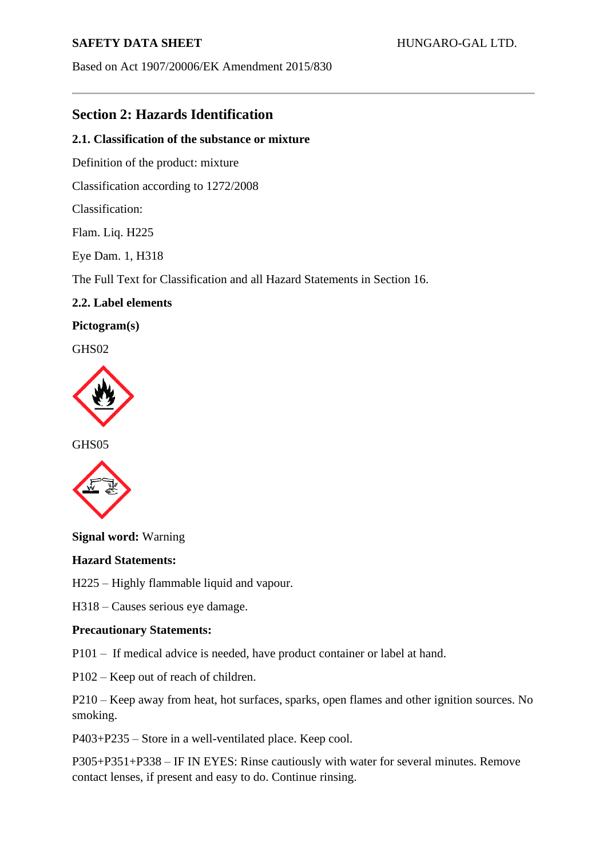Based on Act 1907/20006/EK Amendment 2015/830

# **Section 2: Hazards Identification**

### **2.1. Classification of the substance or mixture**

Definition of the product: mixture

Classification according to 1272/2008

Classification:

Flam. Liq. H225

Eye Dam. 1, H318

The Full Text for Classification and all Hazard Statements in Section 16.

## **2.2. Label elements**

**Pictogram(s)**

GH<sub>S</sub>02



GHS05



**Signal word:** Warning

### **Hazard Statements:**

H225 – Highly flammable liquid and vapour.

H318 – Causes serious eye damage.

### **Precautionary Statements:**

P101 – If medical advice is needed, have product container or label at hand.

P102 – Keep out of reach of children.

P210 – Keep away from heat, hot surfaces, sparks, open flames and other ignition sources. No smoking.

P403+P235 – Store in a well-ventilated place. Keep cool.

P305+P351+P338 – IF IN EYES: Rinse cautiously with water for several minutes. Remove contact lenses, if present and easy to do. Continue rinsing.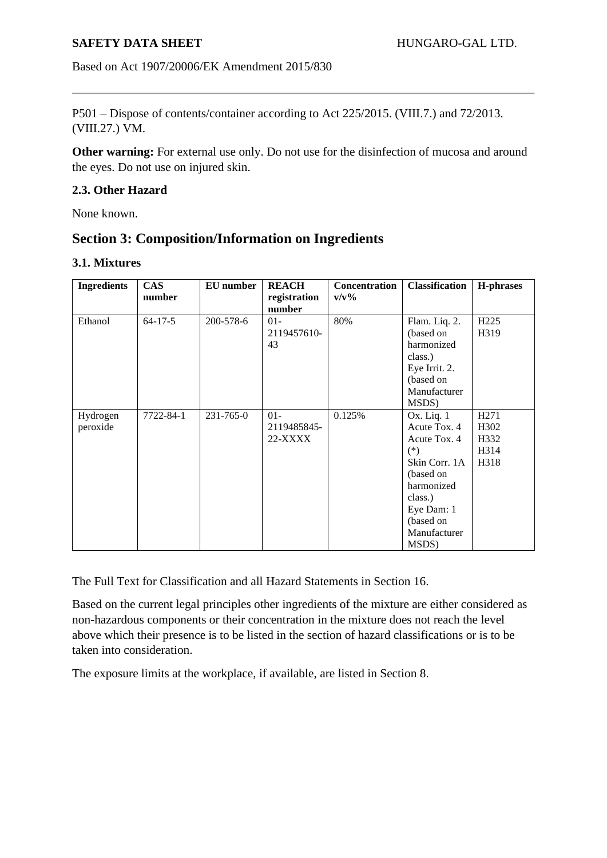Based on Act 1907/20006/EK Amendment 2015/830

P501 – Dispose of contents/container according to Act 225/2015. (VIII.7.) and 72/2013. (VIII.27.) VM.

**Other warning:** For external use only. Do not use for the disinfection of mucosa and around the eyes. Do not use on injured skin.

#### **2.3. Other Hazard**

None known.

# **Section 3: Composition/Information on Ingredients**

### **3.1. Mixtures**

| <b>Ingredients</b>   | <b>CAS</b><br>number | EU number | <b>REACH</b><br>registration<br>number | <b>Concentration</b><br>$v/v\%$ | <b>Classification</b>                                                                                                                                             | H-phrases                                                     |
|----------------------|----------------------|-----------|----------------------------------------|---------------------------------|-------------------------------------------------------------------------------------------------------------------------------------------------------------------|---------------------------------------------------------------|
| Ethanol              | $64 - 17 - 5$        | 200-578-6 | $01 -$<br>2119457610-<br>43            | 80%                             | Flam. Liq. 2.<br>(based on<br>harmonized<br>class.)<br>Eye Irrit. 2.<br>(based on<br>Manufacturer<br>MSDS)                                                        | H <sub>225</sub><br>H319                                      |
| Hydrogen<br>peroxide | 7722-84-1            | 231-765-0 | $01 -$<br>2119485845-<br>22-XXXX       | 0.125%                          | $Ox$ . Liq. 1<br>Acute Tox. 4<br>Acute Tox. 4<br>$(*)$<br>Skin Corr. 1A<br>(based on<br>harmonized<br>class.)<br>Eye Dam: 1<br>(based on<br>Manufacturer<br>MSDS) | H <sub>271</sub><br>H <sub>3</sub> 02<br>H332<br>H314<br>H318 |

The Full Text for Classification and all Hazard Statements in Section 16.

Based on the current legal principles other ingredients of the mixture are either considered as non-hazardous components or their concentration in the mixture does not reach the level above which their presence is to be listed in the section of hazard classifications or is to be taken into consideration.

The exposure limits at the workplace, if available, are listed in Section 8.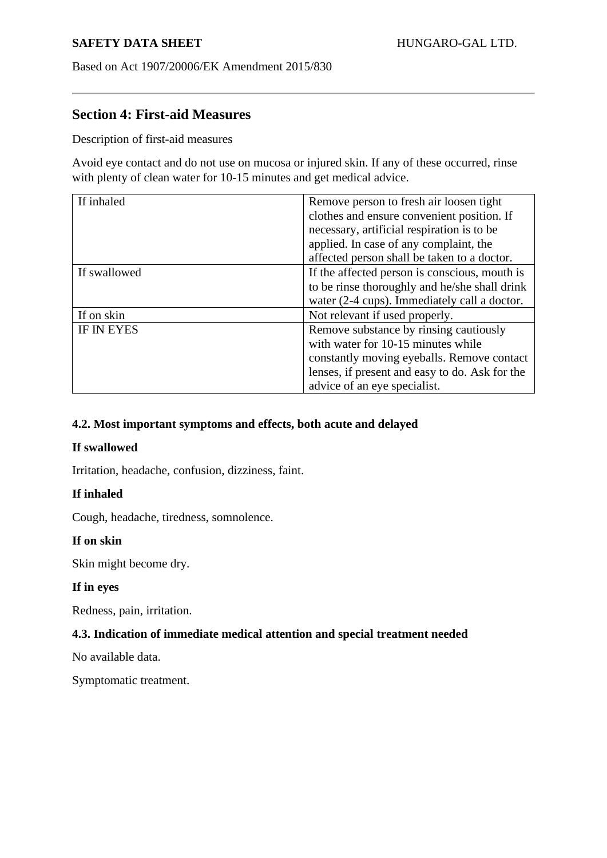Based on Act 1907/20006/EK Amendment 2015/830

# **Section 4: First-aid Measures**

Description of first-aid measures

Avoid eye contact and do not use on mucosa or injured skin. If any of these occurred, rinse with plenty of clean water for 10-15 minutes and get medical advice.

| If inhaled        | Remove person to fresh air loosen tight        |
|-------------------|------------------------------------------------|
|                   | clothes and ensure convenient position. If     |
|                   | necessary, artificial respiration is to be     |
|                   | applied. In case of any complaint, the         |
|                   | affected person shall be taken to a doctor.    |
| If swallowed      | If the affected person is conscious, mouth is  |
|                   | to be rinse thoroughly and he/she shall drink  |
|                   | water (2-4 cups). Immediately call a doctor.   |
| If on skin        | Not relevant if used properly.                 |
| <b>IF IN EYES</b> | Remove substance by rinsing cautiously         |
|                   | with water for 10-15 minutes while             |
|                   | constantly moving eyeballs. Remove contact     |
|                   | lenses, if present and easy to do. Ask for the |
|                   | advice of an eye specialist.                   |

## **4.2. Most important symptoms and effects, both acute and delayed**

## **If swallowed**

Irritation, headache, confusion, dizziness, faint.

## **If inhaled**

Cough, headache, tiredness, somnolence.

### **If on skin**

Skin might become dry.

### **If in eyes**

Redness, pain, irritation.

## **4.3. Indication of immediate medical attention and special treatment needed**

No available data.

Symptomatic treatment.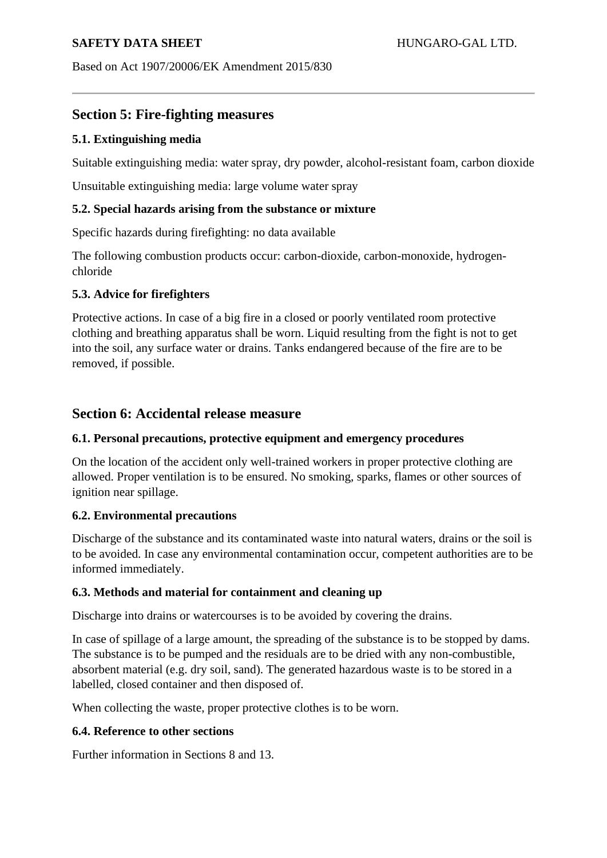## **SAFETY DATA SHEET** ALCOHOLY **HUNGARO-GAL LTD.**

Based on Act 1907/20006/EK Amendment 2015/830

# **Section 5: Fire-fighting measures**

## **5.1. Extinguishing media**

Suitable extinguishing media: water spray, dry powder, alcohol-resistant foam, carbon dioxide

Unsuitable extinguishing media: large volume water spray

## **5.2. Special hazards arising from the substance or mixture**

Specific hazards during firefighting: no data available

The following combustion products occur: carbon-dioxide, carbon-monoxide, hydrogenchloride

## **5.3. Advice for firefighters**

Protective actions. In case of a big fire in a closed or poorly ventilated room protective clothing and breathing apparatus shall be worn. Liquid resulting from the fight is not to get into the soil, any surface water or drains. Tanks endangered because of the fire are to be removed, if possible.

## **Section 6: Accidental release measure**

### **6.1. Personal precautions, protective equipment and emergency procedures**

On the location of the accident only well-trained workers in proper protective clothing are allowed. Proper ventilation is to be ensured. No smoking, sparks, flames or other sources of ignition near spillage.

## **6.2. Environmental precautions**

Discharge of the substance and its contaminated waste into natural waters, drains or the soil is to be avoided. In case any environmental contamination occur, competent authorities are to be informed immediately.

### **6.3. Methods and material for containment and cleaning up**

Discharge into drains or watercourses is to be avoided by covering the drains.

In case of spillage of a large amount, the spreading of the substance is to be stopped by dams. The substance is to be pumped and the residuals are to be dried with any non-combustible, absorbent material (e.g. dry soil, sand). The generated hazardous waste is to be stored in a labelled, closed container and then disposed of.

When collecting the waste, proper protective clothes is to be worn.

### **6.4. Reference to other sections**

Further information in Sections 8 and 13.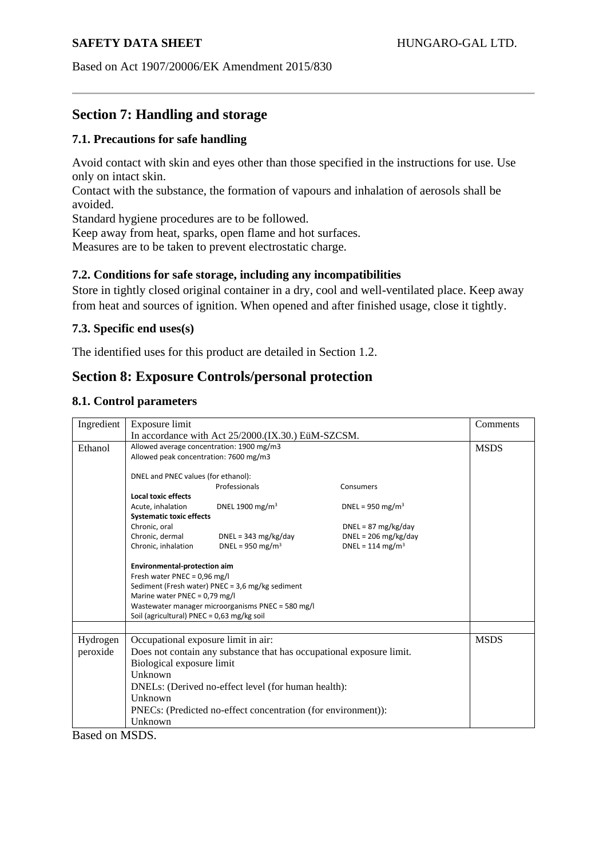Based on Act 1907/20006/EK Amendment 2015/830

# **Section 7: Handling and storage**

## **7.1. Precautions for safe handling**

Avoid contact with skin and eyes other than those specified in the instructions for use. Use only on intact skin.

Contact with the substance, the formation of vapours and inhalation of aerosols shall be avoided.

Standard hygiene procedures are to be followed.

Keep away from heat, sparks, open flame and hot surfaces.

Measures are to be taken to prevent electrostatic charge.

## **7.2. Conditions for safe storage, including any incompatibilities**

Store in tightly closed original container in a dry, cool and well-ventilated place. Keep away from heat and sources of ignition. When opened and after finished usage, close it tightly.

### **7.3. Specific end uses(s)**

The identified uses for this product are detailed in Section 1.2.

# **Section 8: Exposure Controls/personal protection**

### **8.1. Control parameters**

| Ingredient | Exposure limit                                                       |                                                  |                              | Comments    |
|------------|----------------------------------------------------------------------|--------------------------------------------------|------------------------------|-------------|
|            | In accordance with Act 25/2000.(IX.30.) EüM-SZCSM.                   |                                                  |                              |             |
| Ethanol    | Allowed average concentration: 1900 mg/m3                            |                                                  |                              | <b>MSDS</b> |
|            | Allowed peak concentration: 7600 mg/m3                               |                                                  |                              |             |
|            | DNEL and PNEC values (for ethanol):                                  |                                                  |                              |             |
|            |                                                                      | Professionals                                    | Consumers                    |             |
|            | <b>Local toxic effects</b>                                           |                                                  |                              |             |
|            | Acute, inhalation                                                    | DNEL 1900 mg/m <sup>3</sup>                      | DNEL = 950 mg/m <sup>3</sup> |             |
|            | <b>Systematic toxic effects</b>                                      |                                                  |                              |             |
|            | Chronic, oral                                                        |                                                  | $DNEL = 87 mg/kg/day$        |             |
|            | Chronic, dermal                                                      | $DNEL = 343 mg/kg/day$                           | $DNEL = 206$ mg/kg/day       |             |
|            | Chronic, inhalation                                                  | DNEL = 950 mg/m <sup>3</sup>                     | DNEL = 114 mg/m <sup>3</sup> |             |
|            | Environmental-protection aim                                         |                                                  |                              |             |
|            | Fresh water PNEC = $0.96$ mg/l                                       |                                                  |                              |             |
|            |                                                                      | Sediment (Fresh water) PNEC = 3,6 mg/kg sediment |                              |             |
|            | Marine water PNEC = 0,79 mg/l                                        |                                                  |                              |             |
|            | Wastewater manager microorganisms PNEC = 580 mg/l                    |                                                  |                              |             |
|            | Soil (agricultural) PNEC = 0,63 mg/kg soil                           |                                                  |                              |             |
|            |                                                                      |                                                  |                              |             |
| Hydrogen   | <b>MSDS</b><br>Occupational exposure limit in air:                   |                                                  |                              |             |
| peroxide   | Does not contain any substance that has occupational exposure limit. |                                                  |                              |             |
|            | Biological exposure limit                                            |                                                  |                              |             |
|            | Unknown                                                              |                                                  |                              |             |
|            | DNELs: (Derived no-effect level (for human health):                  |                                                  |                              |             |
|            | Unknown                                                              |                                                  |                              |             |
|            | PNECs: (Predicted no-effect concentration (for environment)):        |                                                  |                              |             |
|            | Unknown                                                              |                                                  |                              |             |

Based on MSDS.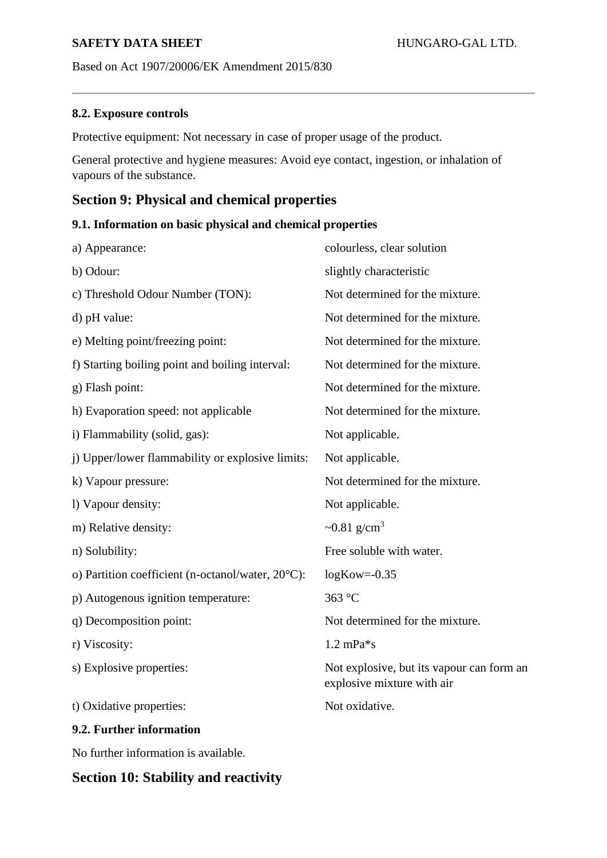Based on Act 1907/20006/EK Amendment 2015/830

## **8.2. Exposure controls**

Protective equipment: Not necessary in case of proper usage of the product.

General protective and hygiene measures: Avoid eye contact, ingestion, or inhalation of vapours of the substance.

# **Section 9: Physical and chemical properties**

## **9.1. Information on basic physical and chemical properties**

| a) Appearance:                                                                                                                                                                                                                                                                                   | colourless, clear solution                                              |
|--------------------------------------------------------------------------------------------------------------------------------------------------------------------------------------------------------------------------------------------------------------------------------------------------|-------------------------------------------------------------------------|
| b) Odour:                                                                                                                                                                                                                                                                                        | slightly characteristic                                                 |
| c) Threshold Odour Number (TON):                                                                                                                                                                                                                                                                 | Not determined for the mixture.                                         |
| d) pH value:                                                                                                                                                                                                                                                                                     | Not determined for the mixture.                                         |
| e) Melting point/freezing point:                                                                                                                                                                                                                                                                 | Not determined for the mixture.                                         |
| f) Starting boiling point and boiling interval:                                                                                                                                                                                                                                                  | Not determined for the mixture.                                         |
| g) Flash point:                                                                                                                                                                                                                                                                                  | Not determined for the mixture.                                         |
| h) Evaporation speed: not applicable                                                                                                                                                                                                                                                             | Not determined for the mixture.                                         |
| i) Flammability (solid, gas):                                                                                                                                                                                                                                                                    | Not applicable.                                                         |
| j) Upper/lower flammability or explosive limits:                                                                                                                                                                                                                                                 | Not applicable.                                                         |
| k) Vapour pressure:                                                                                                                                                                                                                                                                              | Not determined for the mixture.                                         |
| l) Vapour density:                                                                                                                                                                                                                                                                               | Not applicable.                                                         |
| m) Relative density:                                                                                                                                                                                                                                                                             | ~0.81 g/cm <sup>3</sup>                                                 |
| n) Solubility:                                                                                                                                                                                                                                                                                   | Free soluble with water.                                                |
| o) Partition coefficient (n-octanol/water, 20°C):                                                                                                                                                                                                                                                | $logKow = -0.35$                                                        |
| p) Autogenous ignition temperature:                                                                                                                                                                                                                                                              | 363 °C                                                                  |
| q) Decomposition point:                                                                                                                                                                                                                                                                          | Not determined for the mixture.                                         |
| r) Viscosity:                                                                                                                                                                                                                                                                                    | $1.2 \text{ mPa}$ *s                                                    |
| s) Explosive properties:                                                                                                                                                                                                                                                                         | Not explosive, but its vapour can form an<br>explosive mixture with air |
| t) Oxidative properties:                                                                                                                                                                                                                                                                         | Not oxidative.                                                          |
| 9.2. Further information                                                                                                                                                                                                                                                                         |                                                                         |
| $\mathbf{r}$ and $\mathbf{r}$ and $\mathbf{r}$ and $\mathbf{r}$ and $\mathbf{r}$ and $\mathbf{r}$ and $\mathbf{r}$ and $\mathbf{r}$ and $\mathbf{r}$ and $\mathbf{r}$ and $\mathbf{r}$ and $\mathbf{r}$ and $\mathbf{r}$ and $\mathbf{r}$ and $\mathbf{r}$ and $\mathbf{r}$ and $\mathbf{r}$ and |                                                                         |

No further information is available.

# **Section 10: Stability and reactivity**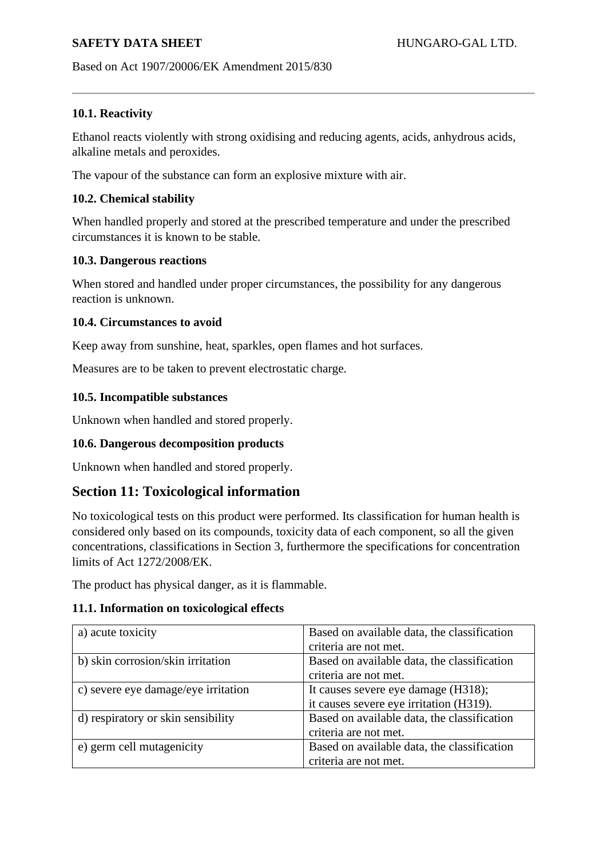Based on Act 1907/20006/EK Amendment 2015/830

### **10.1. Reactivity**

Ethanol reacts violently with strong oxidising and reducing agents, acids, anhydrous acids, alkaline metals and peroxides.

The vapour of the substance can form an explosive mixture with air.

### **10.2. Chemical stability**

When handled properly and stored at the prescribed temperature and under the prescribed circumstances it is known to be stable.

### **10.3. Dangerous reactions**

When stored and handled under proper circumstances, the possibility for any dangerous reaction is unknown.

### **10.4. Circumstances to avoid**

Keep away from sunshine, heat, sparkles, open flames and hot surfaces.

Measures are to be taken to prevent electrostatic charge.

## **10.5. Incompatible substances**

Unknown when handled and stored properly.

## **10.6. Dangerous decomposition products**

Unknown when handled and stored properly.

# **Section 11: Toxicological information**

No toxicological tests on this product were performed. Its classification for human health is considered only based on its compounds, toxicity data of each component, so all the given concentrations, classifications in Section 3, furthermore the specifications for concentration limits of Act 1272/2008/EK.

The product has physical danger, as it is flammable.

### **11.1. Information on toxicological effects**

| a) acute toxicity                   | Based on available data, the classification |
|-------------------------------------|---------------------------------------------|
|                                     | criteria are not met.                       |
| b) skin corrosion/skin irritation   | Based on available data, the classification |
|                                     | criteria are not met.                       |
| c) severe eye damage/eye irritation | It causes severe eye damage (H318);         |
|                                     | it causes severe eye irritation (H319).     |
| d) respiratory or skin sensibility  | Based on available data, the classification |
|                                     | criteria are not met.                       |
| e) germ cell mutagenicity           | Based on available data, the classification |
|                                     | criteria are not met.                       |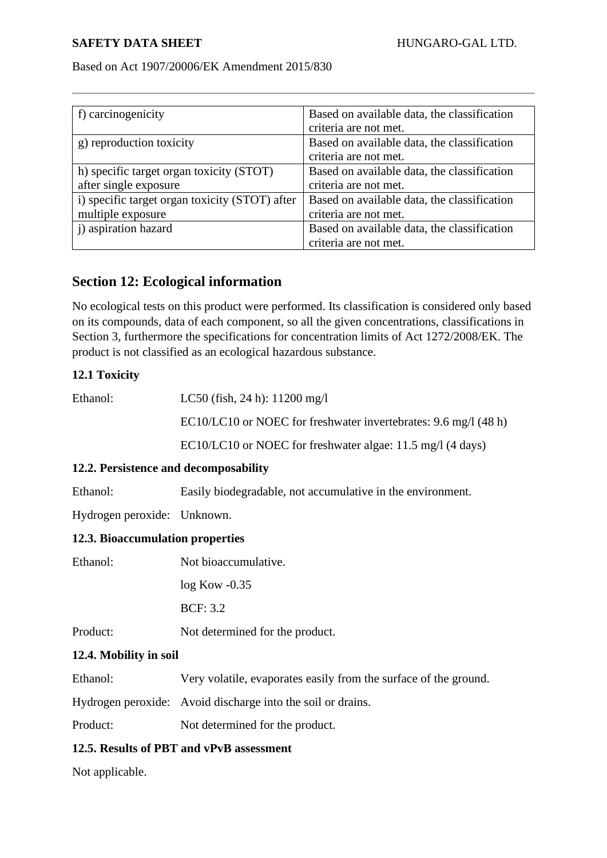### Based on Act 1907/20006/EK Amendment 2015/830

| f) carcinogenicity                             | Based on available data, the classification |
|------------------------------------------------|---------------------------------------------|
|                                                | criteria are not met.                       |
| g) reproduction toxicity                       | Based on available data, the classification |
|                                                | criteria are not met.                       |
| h) specific target organ toxicity (STOT)       | Based on available data, the classification |
| after single exposure                          | criteria are not met.                       |
| i) specific target organ toxicity (STOT) after | Based on available data, the classification |
| multiple exposure                              | criteria are not met.                       |
| j) aspiration hazard                           | Based on available data, the classification |
|                                                | criteria are not met.                       |

# **Section 12: Ecological information**

No ecological tests on this product were performed. Its classification is considered only based on its compounds, data of each component, so all the given concentrations, classifications in Section 3, furthermore the specifications for concentration limits of Act 1272/2008/EK. The product is not classified as an ecological hazardous substance.

## **12.1 Toxicity**

| Ethanol: | LC50 (fish, 24 h): $11200 \text{ mg/l}$                         |
|----------|-----------------------------------------------------------------|
|          | EC10/LC10 or NOEC for freshwater invertebrates: 9.6 mg/l (48 h) |
|          | EC10/LC10 or NOEC for freshwater algae: 11.5 mg/l (4 days)      |

## **12.2. Persistence and decomposability**

Ethanol: Easily biodegradable, not accumulative in the environment.

Hydrogen peroxide: Unknown.

### **12.3. Bioaccumulation properties**

| Ethanol: | Not bioaccumulative.            |
|----------|---------------------------------|
|          | $log$ Kow $-0.35$               |
|          | <b>BCF: 3.2</b>                 |
| Product: | Not determined for the product. |

### **12.4. Mobility in soil**

Ethanol: Very volatile, evaporates easily from the surface of the ground.

Hydrogen peroxide: Avoid discharge into the soil or drains.

Product: Not determined for the product.

## **12.5. Results of PBT and vPvB assessment**

Not applicable.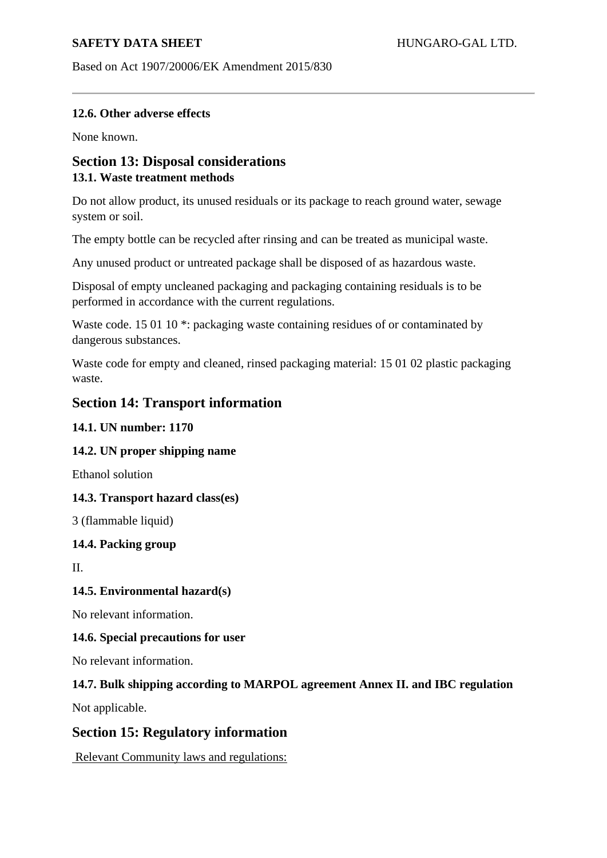Based on Act 1907/20006/EK Amendment 2015/830

## **12.6. Other adverse effects**

None known.

# **Section 13: Disposal considerations 13.1. Waste treatment methods**

Do not allow product, its unused residuals or its package to reach ground water, sewage system or soil.

The empty bottle can be recycled after rinsing and can be treated as municipal waste.

Any unused product or untreated package shall be disposed of as hazardous waste.

Disposal of empty uncleaned packaging and packaging containing residuals is to be performed in accordance with the current regulations.

Waste code. 15 01 10<sup>\*</sup>: packaging waste containing residues of or contaminated by dangerous substances.

Waste code for empty and cleaned, rinsed packaging material: 15 01 02 plastic packaging waste.

## **Section 14: Transport information**

## **14.1. UN number: 1170**

## **14.2. UN proper shipping name**

Ethanol solution

### **14.3. Transport hazard class(es)**

3 (flammable liquid)

### **14.4. Packing group**

II.

## **14.5. Environmental hazard(s)**

No relevant information.

### **14.6. Special precautions for user**

No relevant information.

## **14.7. Bulk shipping according to MARPOL agreement Annex II. and IBC regulation**

Not applicable.

# **Section 15: Regulatory information**

Relevant Community laws and regulations: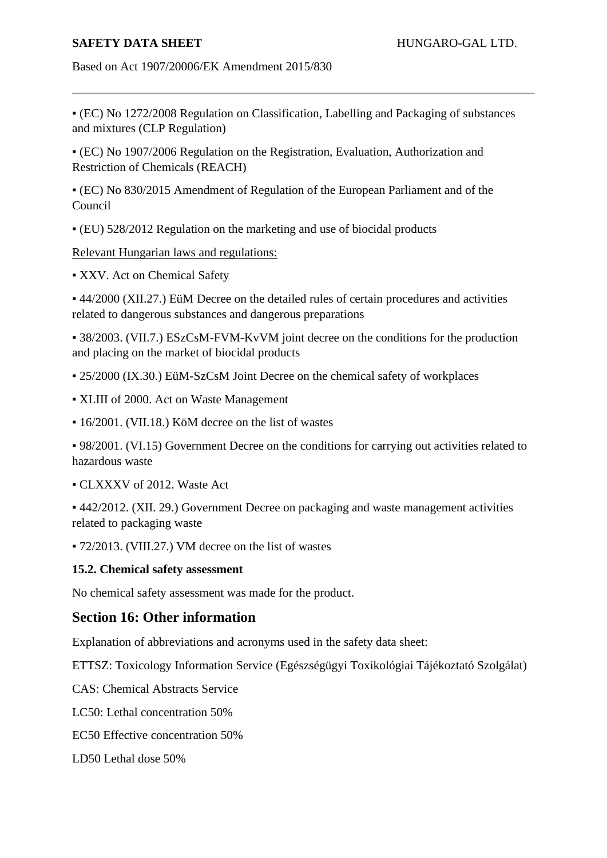Based on Act 1907/20006/EK Amendment 2015/830

▪ (EC) No 1272/2008 Regulation on Classification, Labelling and Packaging of substances and mixtures (CLP Regulation)

▪ (EC) No 1907/2006 Regulation on the Registration, Evaluation, Authorization and Restriction of Chemicals (REACH)

▪ (EC) No 830/2015 Amendment of Regulation of the European Parliament and of the Council

▪ (EU) 528/2012 Regulation on the marketing and use of biocidal products

Relevant Hungarian laws and regulations:

▪ XXV. Act on Chemical Safety

▪ 44/2000 (XII.27.) EüM Decree on the detailed rules of certain procedures and activities related to dangerous substances and dangerous preparations

▪ 38/2003. (VII.7.) ESzCsM-FVM-KvVM joint decree on the conditions for the production and placing on the market of biocidal products

- 25/2000 (IX.30.) EüM-SzCsM Joint Decree on the chemical safety of workplaces
- XLIII of 2000. Act on Waste Management
- 16/2001. (VII.18.) KöM decree on the list of wastes

▪ 98/2001. (VI.15) Government Decree on the conditions for carrying out activities related to hazardous waste

▪ CLXXXV of 2012. Waste Act

▪ 442/2012. (XII. 29.) Government Decree on packaging and waste management activities related to packaging waste

▪ 72/2013. (VIII.27.) VM decree on the list of wastes

### **15.2. Chemical safety assessment**

No chemical safety assessment was made for the product.

# **Section 16: Other information**

Explanation of abbreviations and acronyms used in the safety data sheet:

ETTSZ: Toxicology Information Service (Egészségügyi Toxikológiai Tájékoztató Szolgálat)

CAS: Chemical Abstracts Service

LC50: Lethal concentration 50%

EC50 Effective concentration 50%

LD50 Lethal dose 50%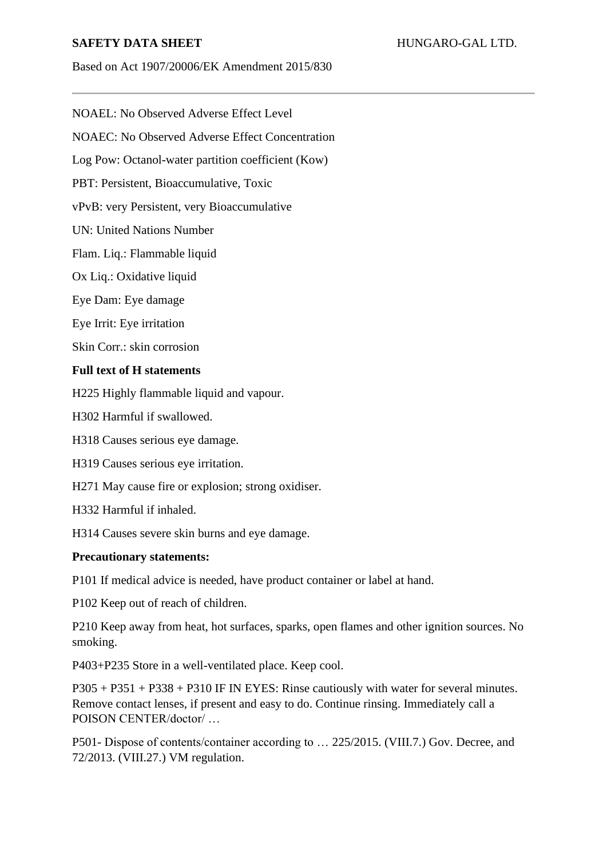Based on Act 1907/20006/EK Amendment 2015/830

NOAEL: No Observed Adverse Effect Level

NOAEC: No Observed Adverse Effect Concentration

Log Pow: Octanol-water partition coefficient (Kow)

PBT: Persistent, Bioaccumulative, Toxic

vPvB: very Persistent, very Bioaccumulative

UN: United Nations Number

Flam. Liq.: Flammable liquid

Ox Liq.: Oxidative liquid

Eye Dam: Eye damage

Eye Irrit: Eye irritation

Skin Corr.: skin corrosion

### **Full text of H statements**

H225 Highly flammable liquid and vapour.

H302 Harmful if swallowed.

H318 Causes serious eye damage.

H319 Causes serious eye irritation.

H271 May cause fire or explosion; strong oxidiser.

H332 Harmful if inhaled.

H314 Causes severe skin burns and eye damage.

### **Precautionary statements:**

P101 If medical advice is needed, have product container or label at hand.

P102 Keep out of reach of children.

P210 Keep away from heat, hot surfaces, sparks, open flames and other ignition sources. No smoking.

P403+P235 Store in a well-ventilated place. Keep cool.

P305 + P351 + P338 + P310 IF IN EYES: Rinse cautiously with water for several minutes. Remove contact lenses, if present and easy to do. Continue rinsing. Immediately call a POISON CENTER/doctor/ …

P501- Dispose of contents/container according to … 225/2015. (VIII.7.) Gov. Decree, and 72/2013. (VIII.27.) VM regulation.